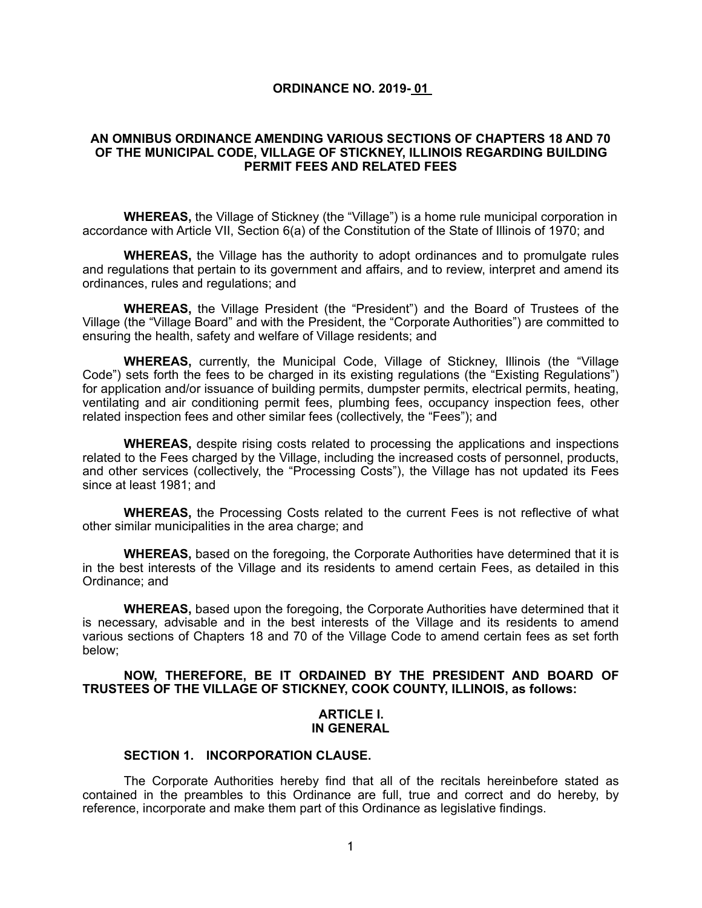#### **ORDINANCE NO. 2019- 01**

#### **AN OMNIBUS ORDINANCE AMENDING VARIOUS SECTIONS OF CHAPTERS 18 AND 70 OF THE MUNICIPAL CODE, VILLAGE OF STICKNEY, ILLINOIS REGARDING BUILDING PERMIT FEES AND RELATED FEES**

**WHEREAS,** the Village of Stickney (the "Village") is a home rule municipal corporation in accordance with Article VII, Section 6(a) of the Constitution of the State of Illinois of 1970; and

**WHEREAS,** the Village has the authority to adopt ordinances and to promulgate rules and regulations that pertain to its government and affairs, and to review, interpret and amend its ordinances, rules and regulations; and

**WHEREAS,** the Village President (the "President") and the Board of Trustees of the Village (the "Village Board" and with the President, the "Corporate Authorities") are committed to ensuring the health, safety and welfare of Village residents; and

**WHEREAS,** currently, the Municipal Code, Village of Stickney, Illinois (the "Village Code") sets forth the fees to be charged in its existing regulations (the "Existing Regulations") for application and/or issuance of building permits, dumpster permits, electrical permits, heating, ventilating and air conditioning permit fees, plumbing fees, occupancy inspection fees, other related inspection fees and other similar fees (collectively, the "Fees"); and

**WHEREAS,** despite rising costs related to processing the applications and inspections related to the Fees charged by the Village, including the increased costs of personnel, products, and other services (collectively, the "Processing Costs"), the Village has not updated its Fees since at least 1981; and

**WHEREAS,** the Processing Costs related to the current Fees is not reflective of what other similar municipalities in the area charge; and

**WHEREAS,** based on the foregoing, the Corporate Authorities have determined that it is in the best interests of the Village and its residents to amend certain Fees, as detailed in this Ordinance; and

**WHEREAS,** based upon the foregoing, the Corporate Authorities have determined that it is necessary, advisable and in the best interests of the Village and its residents to amend various sections of Chapters 18 and 70 of the Village Code to amend certain fees as set forth below;

#### **NOW, THEREFORE, BE IT ORDAINED BY THE PRESIDENT AND BOARD OF TRUSTEES OF THE VILLAGE OF STICKNEY, COOK COUNTY, ILLINOIS, as follows:**

#### **ARTICLE I. IN GENERAL**

#### **SECTION 1. INCORPORATION CLAUSE.**

The Corporate Authorities hereby find that all of the recitals hereinbefore stated as contained in the preambles to this Ordinance are full, true and correct and do hereby, by reference, incorporate and make them part of this Ordinance as legislative findings.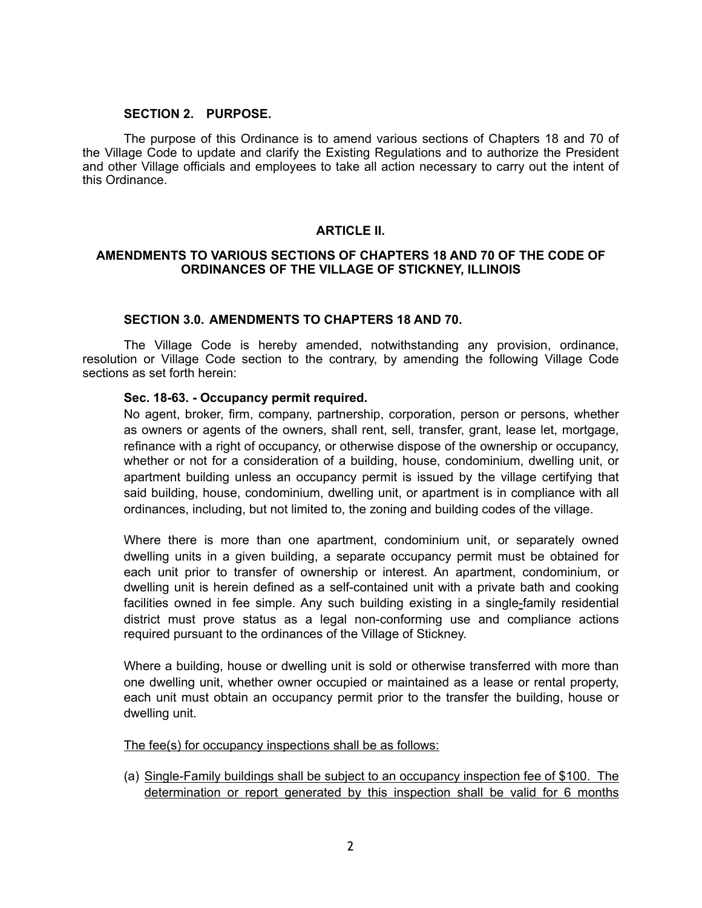#### **SECTION 2. PURPOSE.**

 The purpose of this Ordinance is to amend various sections of Chapters 18 and 70 of the Village Code to update and clarify the Existing Regulations and to authorize the President and other Village officials and employees to take all action necessary to carry out the intent of this Ordinance.

# **ARTICLE II.**

#### **AMENDMENTS TO VARIOUS SECTIONS OF CHAPTERS 18 AND 70 OF THE CODE OF ORDINANCES OF THE VILLAGE OF STICKNEY, ILLINOIS**

#### **SECTION 3.0. AMENDMENTS TO CHAPTERS 18 AND 70.**

The Village Code is hereby amended, notwithstanding any provision, ordinance, resolution or Village Code section to the contrary, by amending the following Village Code sections as set forth herein:

#### **Sec. 18-63. - Occupancy permit required.**

No agent, broker, firm, company, partnership, corporation, person or persons, whether as owners or agents of the owners, shall rent, sell, transfer, grant, lease let, mortgage, refinance with a right of occupancy, or otherwise dispose of the ownership or occupancy, whether or not for a consideration of a building, house, condominium, dwelling unit, or apartment building unless an occupancy permit is issued by the village certifying that said building, house, condominium, dwelling unit, or apartment is in compliance with all ordinances, including, but not limited to, the zoning and building codes of the village.

Where there is more than one apartment, condominium unit, or separately owned dwelling units in a given building, a separate occupancy permit must be obtained for each unit prior to transfer of ownership or interest. An apartment, condominium, or dwelling unit is herein defined as a self-contained unit with a private bath and cooking facilities owned in fee simple. Any such building existing in a single-family residential district must prove status as a legal non-conforming use and compliance actions required pursuant to the ordinances of the Village of Stickney.

Where a building, house or dwelling unit is sold or otherwise transferred with more than one dwelling unit, whether owner occupied or maintained as a lease or rental property, each unit must obtain an occupancy permit prior to the transfer the building, house or dwelling unit.

The fee(s) for occupancy inspections shall be as follows:

(a) Single-Family buildings shall be subject to an occupancy inspection fee of \$100. The determination or report generated by this inspection shall be valid for 6 months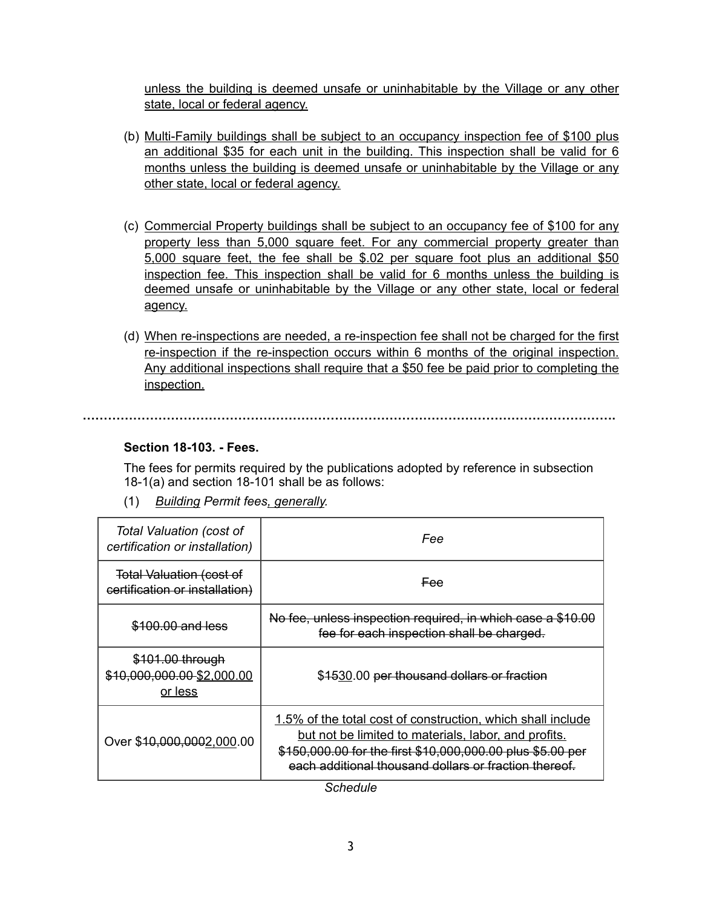unless the building is deemed unsafe or uninhabitable by the Village or any other state, local or federal agency.

- (b) Multi-Family buildings shall be subject to an occupancy inspection fee of \$100 plus an additional \$35 for each unit in the building. This inspection shall be valid for 6 months unless the building is deemed unsafe or uninhabitable by the Village or any other state, local or federal agency.
- (c) Commercial Property buildings shall be subject to an occupancy fee of \$100 for any property less than 5,000 square feet. For any commercial property greater than 5,000 square feet, the fee shall be \$.02 per square foot plus an additional \$50 inspection fee. This inspection shall be valid for 6 months unless the building is deemed unsafe or uninhabitable by the Village or any other state, local or federal agency.
- (d) When re-inspections are needed, a re-inspection fee shall not be charged for the first re-inspection if the re-inspection occurs within 6 months of the original inspection. Any additional inspections shall require that a \$50 fee be paid prior to completing the inspection.

# **……………………………………………………………………………………………………………….**

# **Section 18-103. - Fees.**

The fees for permits required by the publications adopted by reference in subsection 18-1(a) and section 18-101 shall be as follows:

(1) *Building Permit fees, generally.*

| Total Valuation (cost of<br>certification or installation)        | Fee                                                                                                                                                                                                                                        |
|-------------------------------------------------------------------|--------------------------------------------------------------------------------------------------------------------------------------------------------------------------------------------------------------------------------------------|
| <b>Total Valuation (cost of</b><br>certification or installation) | <del>Fee</del>                                                                                                                                                                                                                             |
| \$100.00 and less                                                 | No fee, unless inspection required, in which case a \$10.00<br>fee for each inspection shall be charged.                                                                                                                                   |
| \$101.00 through<br>\$10,000,000.00-\$2,000.00<br>or less         | \$1530.00 per thousand dollars or fraction                                                                                                                                                                                                 |
| Over \$40,000,0002,000.00                                         | 1.5% of the total cost of construction, which shall include<br>but not be limited to materials, labor, and profits.<br>\$150,000.00 for the first \$10,000,000.00 plus \$5.00 per<br>each additional thousand dollars or fraction thereof. |

*Schedule*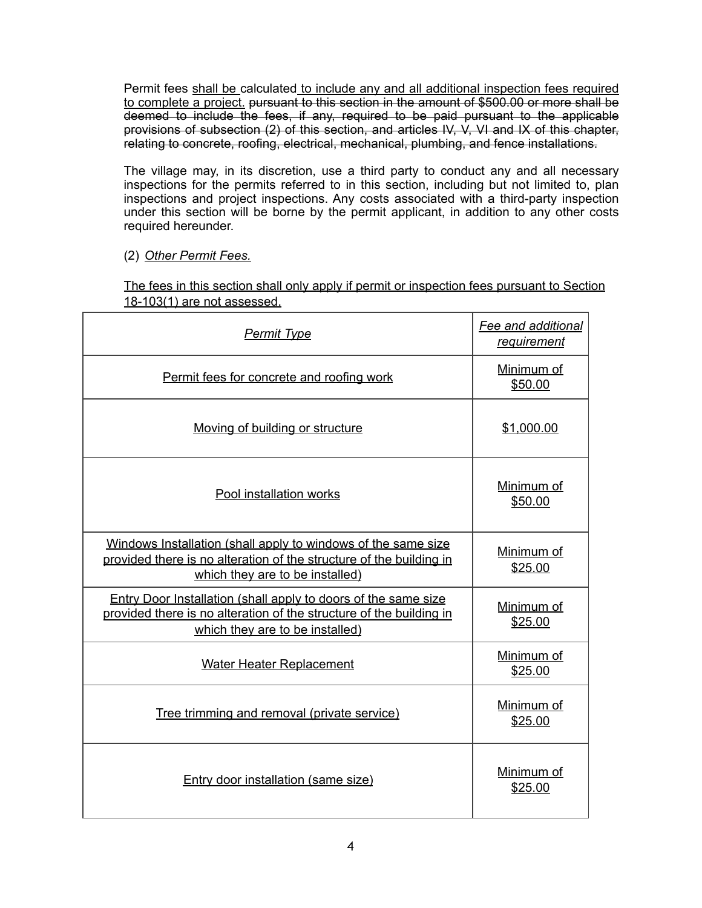Permit fees shall be calculated to include any and all additional inspection fees required to complete a project. pursuant to this section in the amount of \$500.00 or more shall be deemed to include the fees, if any, required to be paid pursuant to the applicable provisions of subsection (2) of this section, and articles IV, V, VI and IX of this chapter, relating to concrete, roofing, electrical, mechanical, plumbing, and fence installations.

The village may, in its discretion, use a third party to conduct any and all necessary inspections for the permits referred to in this section, including but not limited to, plan inspections and project inspections. Any costs associated with a third-party inspection under this section will be borne by the permit applicant, in addition to any other costs required hereunder.

(2) *Other Permit Fees.* 

The fees in this section shall only apply if permit or inspection fees pursuant to Section 18-103(1) are not assessed.

| <b>Permit Type</b>                                                                                                                                                       | Fee and additional<br>requirement |
|--------------------------------------------------------------------------------------------------------------------------------------------------------------------------|-----------------------------------|
| Permit fees for concrete and roofing work                                                                                                                                | Minimum of<br>\$50.00             |
| Moving of building or structure                                                                                                                                          | \$1,000.00                        |
| Pool installation works                                                                                                                                                  | Minimum of<br>\$50.00             |
| Windows Installation (shall apply to windows of the same size<br>provided there is no alteration of the structure of the building in<br>which they are to be installed)  | Minimum of<br>\$25.00             |
| Entry Door Installation (shall apply to doors of the same size<br>provided there is no alteration of the structure of the building in<br>which they are to be installed) | Minimum of<br>\$25.00             |
| <b>Water Heater Replacement</b>                                                                                                                                          | Minimum of<br>\$25.00             |
| Tree trimming and removal (private service)                                                                                                                              | Minimum of<br>\$25.00             |
| Entry door installation (same size)                                                                                                                                      | Minimum of<br>\$25.00             |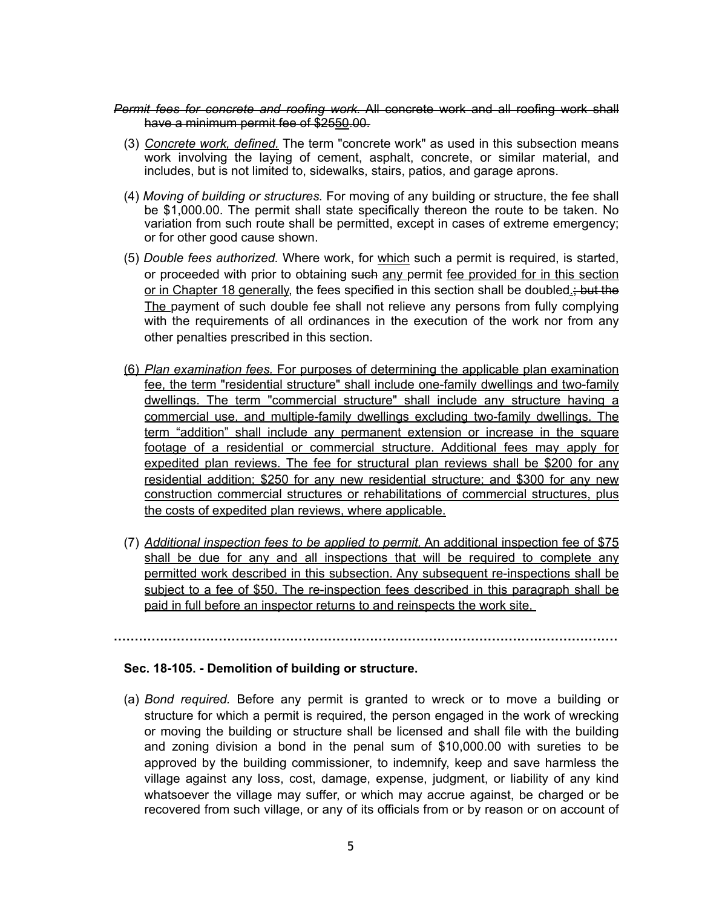#### *Permit fees for concrete and roofing work.* All concrete work and all roofing work shall have a minimum permit fee of \$2550.00.

- (3) *Concrete work, defined.* The term "concrete work" as used in this subsection means work involving the laying of cement, asphalt, concrete, or similar material, and includes, but is not limited to, sidewalks, stairs, patios, and garage aprons.
- (4) *Moving of building or structures.* For moving of any building or structure, the fee shall be \$1,000.00. The permit shall state specifically thereon the route to be taken. No variation from such route shall be permitted, except in cases of extreme emergency; or for other good cause shown.
- (5) *Double fees authorized.* Where work, for which such a permit is required, is started, or proceeded with prior to obtaining such any permit fee provided for in this section or in Chapter 18 generally, the fees specified in this section shall be doubled.; but the The payment of such double fee shall not relieve any persons from fully complying with the requirements of all ordinances in the execution of the work nor from any other penalties prescribed in this section.
- (6) *Plan examination fees.* For purposes of determining the applicable plan examination fee, the term "residential structure" shall include one-family dwellings and two-family dwellings. The term "commercial structure" shall include any structure having a commercial use, and multiple-family dwellings excluding two-family dwellings. The term "addition" shall include any permanent extension or increase in the square footage of a residential or commercial structure. Additional fees may apply for expedited plan reviews. The fee for structural plan reviews shall be \$200 for any residential addition; \$250 for any new residential structure; and \$300 for any new construction commercial structures or rehabilitations of commercial structures, plus the costs of expedited plan reviews, where applicable.
- (7) *Additional inspection fees to be applied to permit.* An additional inspection fee of \$75 shall be due for any and all inspections that will be required to complete any permitted work described in this subsection. Any subsequent re-inspections shall be subject to a fee of \$50. The re-inspection fees described in this paragraph shall be paid in full before an inspector returns to and reinspects the work site.

**…………………………………………………………………………………………………………** 

# **Sec. 18-105. - Demolition of building or structure.**

(a) *Bond required.* Before any permit is granted to wreck or to move a building or structure for which a permit is required, the person engaged in the work of wrecking or moving the building or structure shall be licensed and shall file with the building and zoning division a bond in the penal sum of \$10,000.00 with sureties to be approved by the building commissioner, to indemnify, keep and save harmless the village against any loss, cost, damage, expense, judgment, or liability of any kind whatsoever the village may suffer, or which may accrue against, be charged or be recovered from such village, or any of its officials from or by reason or on account of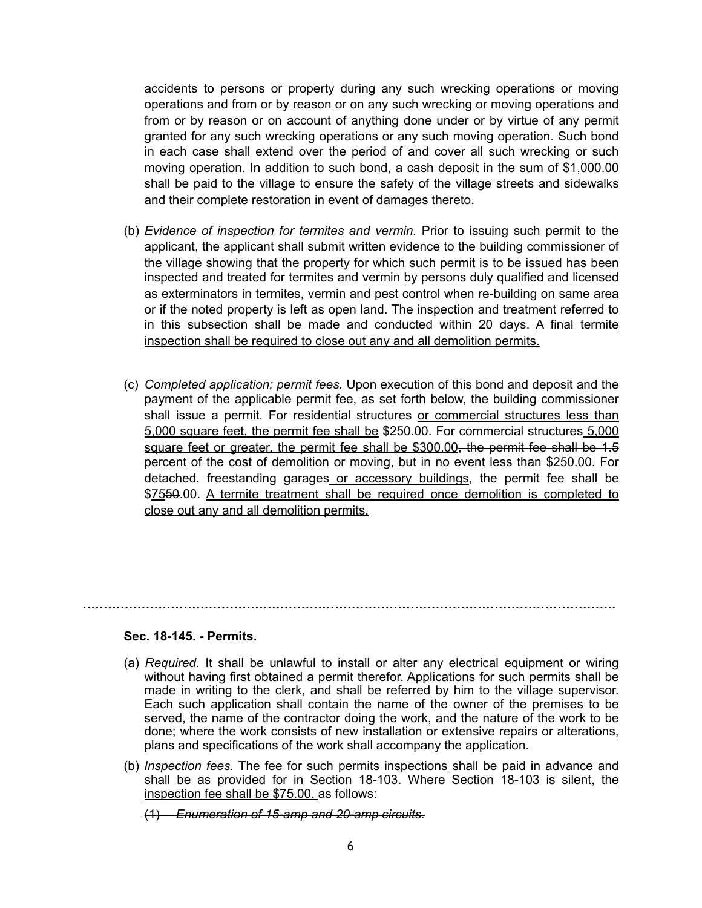accidents to persons or property during any such wrecking operations or moving operations and from or by reason or on any such wrecking or moving operations and from or by reason or on account of anything done under or by virtue of any permit granted for any such wrecking operations or any such moving operation. Such bond in each case shall extend over the period of and cover all such wrecking or such moving operation. In addition to such bond, a cash deposit in the sum of \$1,000.00 shall be paid to the village to ensure the safety of the village streets and sidewalks and their complete restoration in event of damages thereto.

- (b) *Evidence of inspection for termites and vermin.* Prior to issuing such permit to the applicant, the applicant shall submit written evidence to the building commissioner of the village showing that the property for which such permit is to be issued has been inspected and treated for termites and vermin by persons duly qualified and licensed as exterminators in termites, vermin and pest control when re-building on same area or if the noted property is left as open land. The inspection and treatment referred to in this subsection shall be made and conducted within 20 days. A final termite inspection shall be required to close out any and all demolition permits.
- (c) *Completed application; permit fees.* Upon execution of this bond and deposit and the payment of the applicable permit fee, as set forth below, the building commissioner shall issue a permit. For residential structures or commercial structures less than 5,000 square feet, the permit fee shall be \$250.00. For commercial structures 5,000 square feet or greater, the permit fee shall be \$300.00<del>, the permit fee shall be 1.5</del> percent of the cost of demolition or moving, but in no event less than \$250.00. For detached, freestanding garages or accessory buildings, the permit fee shall be \$7550.00. A termite treatment shall be required once demolition is completed to close out any and all demolition permits.

#### **Sec. 18-145. - Permits.**

(a) *Required.* It shall be unlawful to install or alter any electrical equipment or wiring without having first obtained a permit therefor. Applications for such permits shall be made in writing to the clerk, and shall be referred by him to the village supervisor. Each such application shall contain the name of the owner of the premises to be served, the name of the contractor doing the work, and the nature of the work to be done; where the work consists of new installation or extensive repairs or alterations, plans and specifications of the work shall accompany the application.

**……………………………………………………………………………………………………………….** 

- (b) *Inspection fees.* The fee for such permits inspections shall be paid in advance and shall be as provided for in Section 18-103. Where Section 18-103 is silent, the inspection fee shall be \$75.00. as follows:
	- (1) *Enumeration of 15-amp and 20-amp circuits.*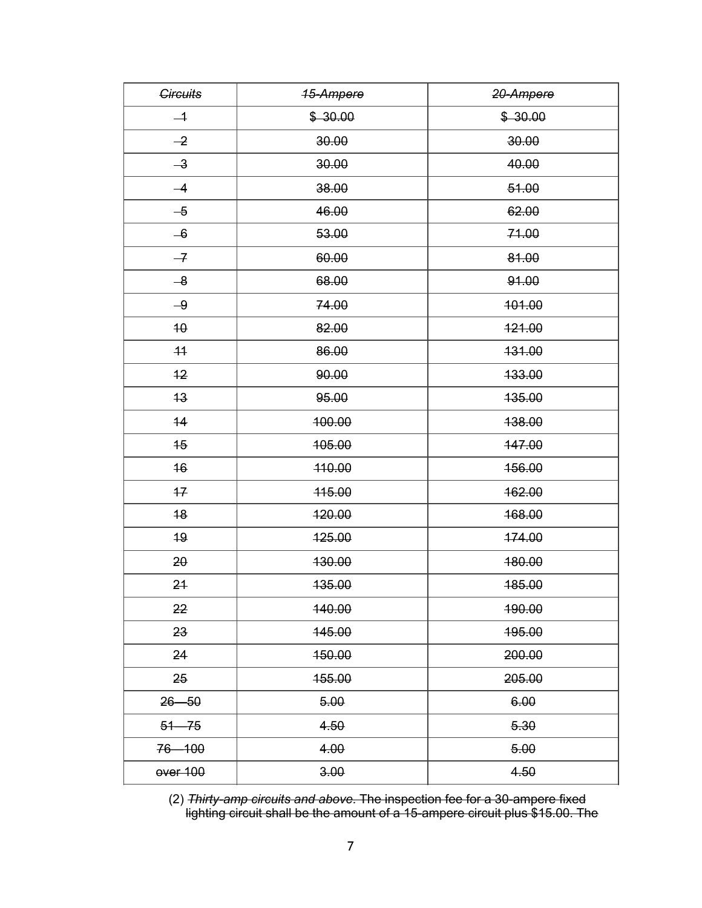| <b>Circuits</b> | <b>15-Ampere</b> | 20-Ampere |
|-----------------|------------------|-----------|
| $-1$            | \$30.00          | \$30.00   |
| $-2$            | 30.00            | 30.00     |
| $-3$            | 30.00            | 40.00     |
| $-4$            | 38.00            | 51.00     |
| $-5$            | 46.00            | 62.00     |
| $-6$            | 53.00            | 71.00     |
| $-7$            | 60.00            | 81.00     |
| $-8$            | 68.00            | 91.00     |
| $-9$            | 74.00            | 401.00    |
| 40              | 82.00            | 421.00    |
| 44              | 86.00            | 431.00    |
| 12              | 90.00            | 433.00    |
| 43              | 95.00            | 435.00    |
| 14              | 100.00           | 138.00    |
| 45              | 105.00           | 447.00    |
| 16              | 410.00           | 456.00    |
| $+7$            | 415.00           | 162.00    |
| 48              | 120.00           | 168.00    |
| 19              | 125.00           | 174.00    |
| $20 -$          | 130.00           | 480.00    |
| 24              | 135.00           | 485.00    |
| 22              | 140.00           | 190.00    |
| 23              | 145.00           | 195.00    |
| 24              | 150.00           | 200.00    |
| 25              | 155.00           | 205.00    |
| $26 - 50$       | 5.00             | 6.00      |
| $51 - 75$       | 4.50             | 5.30      |
| 76-100          | 4.00             | 5.00      |
| over 100        | 3.00             | 4.50      |

 (2) *Thirty-amp circuits and above.* The inspection fee for a 30-ampere fixed lighting circuit shall be the amount of a 15-ampere circuit plus \$15.00. The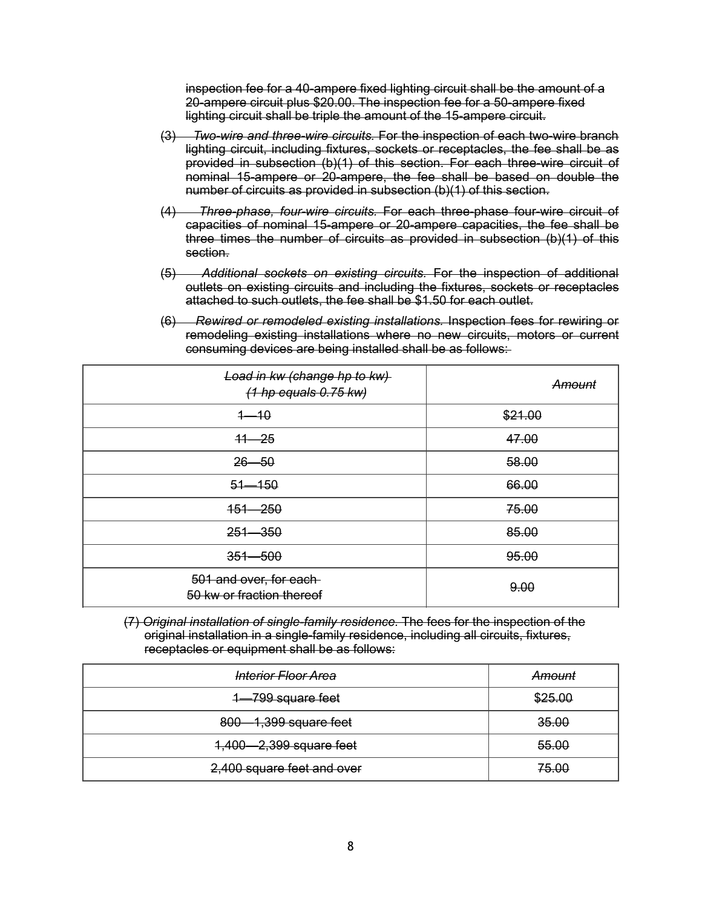inspection fee for a 40-ampere fixed lighting circuit shall be the amount of a 20-ampere circuit plus \$20.00. The inspection fee for a 50-ampere fixed lighting circuit shall be triple the amount of the 15-ampere circuit.

- (3) *Two-wire and three-wire circuits.* For the inspection of each two-wire branch lighting circuit, including fixtures, sockets or receptacles, the fee shall be as provided in subsection (b)(1) of this section. For each three-wire circuit of nominal 15-ampere or 20-ampere, the fee shall be based on double the number of circuits as provided in subsection (b)(1) of this section.
- (4) *Three-phase, four-wire circuits.* For each three-phase four-wire circuit of capacities of nominal 15-ampere or 20-ampere capacities, the fee shall be three times the number of circuits as provided in subsection (b)(1) of this section.
- (5) *Additional sockets on existing circuits.* For the inspection of additional outlets on existing circuits and including the fixtures, sockets or receptacles attached to such outlets, the fee shall be \$1.50 for each outlet.
- (6) *Rewired or remodeled existing installations.* Inspection fees for rewiring or remodeling existing installations where no new circuits, motors or current consuming devices are being installed shall be as follows:

| Load in kw (change hp to kw)<br>$(1$ hp equals $0.75$ kw) | Amount  |
|-----------------------------------------------------------|---------|
| $1 - 10$                                                  | \$21.00 |
| $+1 - 25$                                                 | 47.00   |
| $26 - 50$                                                 | 58.00   |
| $51 - 150$                                                | 66.00   |
| $151 - 250$                                               | 75.00   |
| $251 - 350$                                               | 85.00   |
| $351 - 500$                                               | 95.00   |
| 501 and over, for each-<br>50 kw or fraction thereof      | 9.00    |

(7) *Original installation of single-family residence.* The fees for the inspection of the original installation in a single-family residence, including all circuits, fixtures, receptacles or equipment shall be as follows:

| Interior Floor Area        | Amount  |
|----------------------------|---------|
| 1-799 square feet          | \$25.00 |
| 800-1,399 square feet      | 35.00   |
| 1,400-2,399 square feet    | 55.00   |
| 2,400 square feet and over | 75.00   |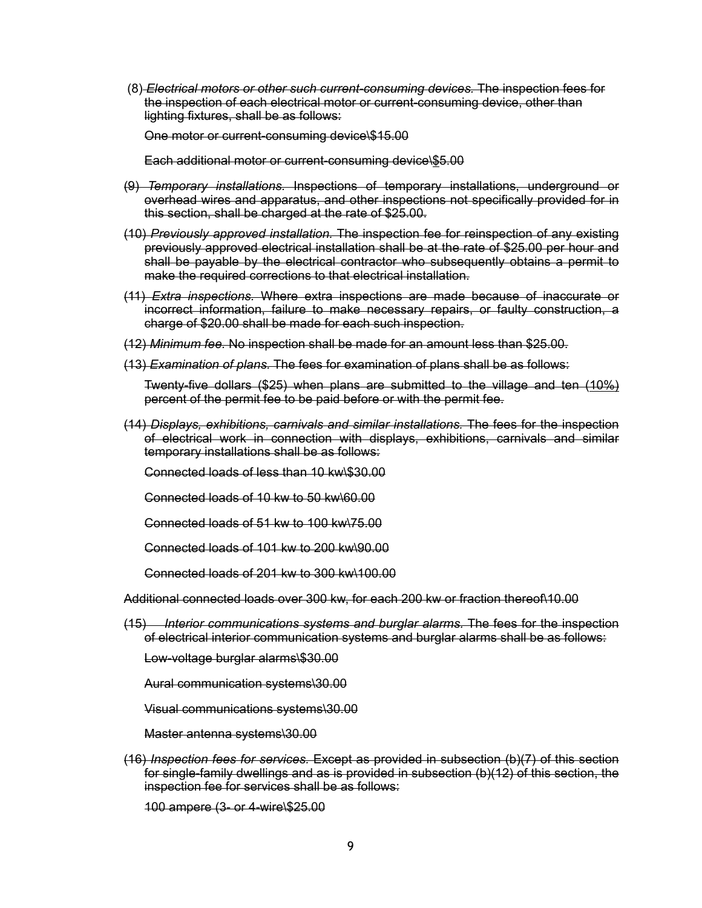(8) *Electrical motors or other such current-consuming devices.* The inspection fees for the inspection of each electrical motor or current-consuming device, other than lighting fixtures, shall be as follows:

One motor or current-consuming device\\$15.00

Each additional motor or current-consuming device\\$5.00

- (9) *Temporary installations.* Inspections of temporary installations, underground or overhead wires and apparatus, and other inspections not specifically provided for in this section, shall be charged at the rate of \$25.00.
- (10) *Previously approved installation.* The inspection fee for reinspection of any existing previously approved electrical installation shall be at the rate of \$25.00 per hour and shall be payable by the electrical contractor who subsequently obtains a permit to make the required corrections to that electrical installation.
- (11) *Extra inspections.* Where extra inspections are made because of inaccurate or incorrect information, failure to make necessary repairs, or faulty construction, a charge of \$20.00 shall be made for each such inspection.
- (12) *Minimum fee.* No inspection shall be made for an amount less than \$25.00.
- (13) *Examination of plans.* The fees for examination of plans shall be as follows:

Twenty-five dollars (\$25) when plans are submitted to the village and ten (10%) percent of the permit fee to be paid before or with the permit fee.

(14) *Displays, exhibitions, carnivals and similar installations.* The fees for the inspection of electrical work in connection with displays, exhibitions, carnivals and similar temporary installations shall be as follows:

Connected loads of less than 10 kw\\$30.00

Connected loads of 10 kw to 50 kw\60.00

Connected loads of 51 kw to 100 kw\75.00

Connected loads of 101 kw to 200 kw\90.00

Connected loads of 201 kw to 300 kw\100.00

Additional connected loads over 300 kw, for each 200 kw or fraction thereof\10.00

(15) *Interior communications systems and burglar alarms.* The fees for the inspection of electrical interior communication systems and burglar alarms shall be as follows:

Low-voltage burglar alarms\\$30.00

Aural communication systems\30.00

Visual communications systems\30.00

Master antenna systems\30.00

(16) *Inspection fees for services.* Except as provided in subsection (b)(7) of this section for single-family dwellings and as is provided in subsection (b)(12) of this section, the inspection fee for services shall be as follows:

100 ampere (3- or 4-wire\\$25.00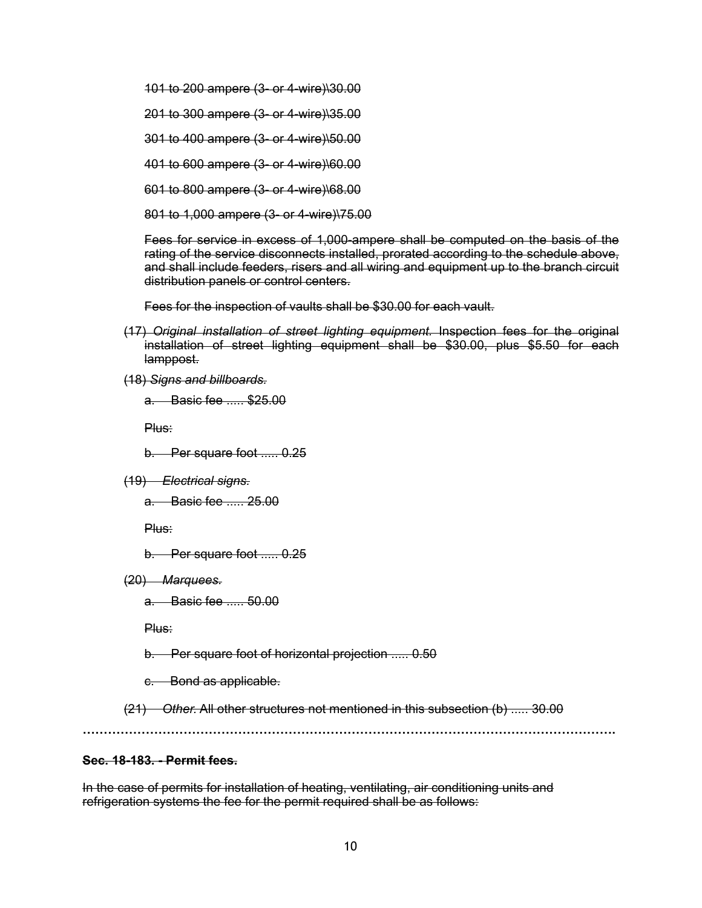101 to 200 ampere (3- or 4-wire)\30.00

201 to 300 ampere (3- or 4-wire)\35.00

301 to 400 ampere (3- or 4-wire)\50.00

401 to 600 ampere (3- or 4-wire)\60.00

601 to 800 ampere (3- or 4-wire)\68.00

801 to 1,000 ampere (3- or 4-wire)\75.00

Fees for service in excess of 1,000-ampere shall be computed on the basis of the rating of the service disconnects installed, prorated according to the schedule above, and shall include feeders, risers and all wiring and equipment up to the branch circuit distribution panels or control centers.

Fees for the inspection of vaults shall be \$30.00 for each vault.

- (17) *Original installation of street lighting equipment.* Inspection fees for the original installation of street lighting equipment shall be \$30.00, plus \$5.50 for each lamppost.
- (18) *Signs and billboards.*

a. Basic fee ..... \$25.00

Plus:

b. Per square foot ..... 0.25

(19) *Electrical signs.*

a. Basic fee ..... 25.00

Plus:

b. Per square foot ..... 0.25

(20) *Marquees.*

a. Basic fee ..... 50.00

Plus:

b. Per square foot of horizontal projection ..... 0.50

c. Bond as applicable.

(21) *Other.* All other structures not mentioned in this subsection (b) ..... 30.00

**……………………………………………………………………………………………………………….** 

#### **Sec. 18-183. - Permit fees.**

In the case of permits for installation of heating, ventilating, air conditioning units and refrigeration systems the fee for the permit required shall be as follows: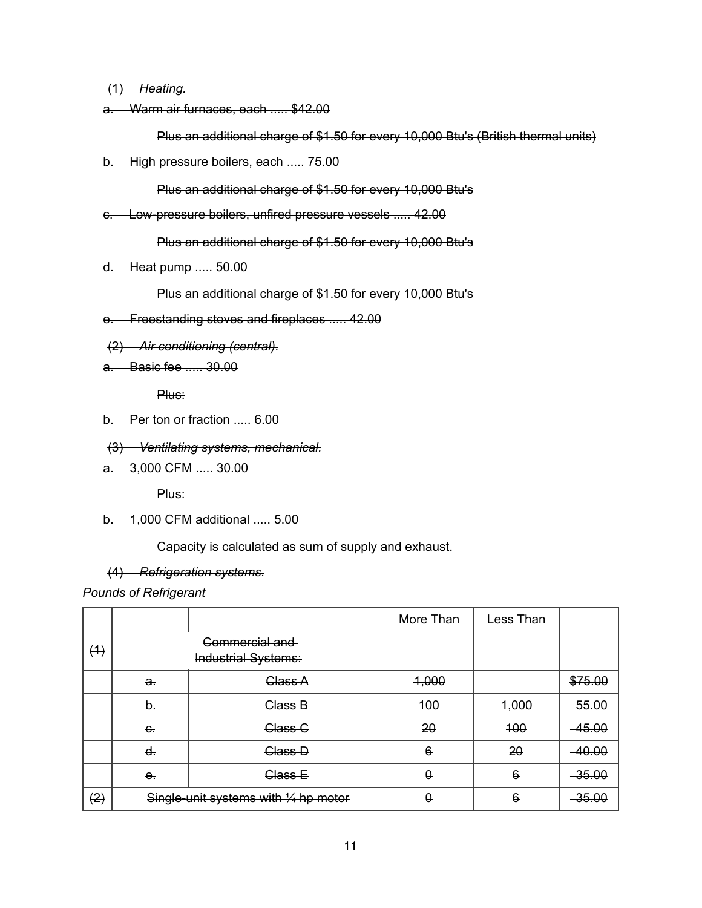(1) *Heating.*

a. Warm air furnaces, each ..... \$42.00

Plus an additional charge of \$1.50 for every 10,000 Btu's (British thermal units)

b. High pressure boilers, each ..... 75.00

Plus an additional charge of \$1.50 for every 10,000 Btu's

c. Low-pressure boilers, unfired pressure vessels ..... 42.00

Plus an additional charge of \$1.50 for every 10,000 Btu's

d. Heat pump ..... 50.00

Plus an additional charge of \$1.50 for every 10,000 Btu's

- e. Freestanding stoves and fireplaces ..... 42.00
- (2) *Air conditioning (central).*
- a. Basic fee ..... 30.00

Plus:

- b. Per ton or fraction ..... 6.00
- (3) *Ventilating systems, mechanical.*
- a. 3,000 CFM ..... 30.00

Plus:

b. 1,000 CFM additional ..... 5.00

Capacity is calculated as sum of supply and exhaust.

#### (4) *Refrigeration systems.*

*Pounds of Refrigerant*

|     |                                              |                                       | More Than  | Less Than |          |
|-----|----------------------------------------------|---------------------------------------|------------|-----------|----------|
| (4) | Commercial and<br><b>Industrial Systems:</b> |                                       |            |           |          |
|     | $\mathbf{a}$                                 | Class A                               | 4,000      |           | \$75.00  |
|     | b.                                           | Class B                               | 100        | 4,000     | $-55.00$ |
|     | $\epsilon$ .                                 | Class <sub>C</sub>                    | 20         | 400       | $-45.00$ |
|     | d.                                           | Class D                               | $\epsilon$ | 20        | $-40.00$ |
|     | e <sub>r</sub>                               | Class E                               | $\theta$   | $\theta$  | $-35.00$ |
| (2) |                                              | Single-unit systems with 1/4 hp motor | θ          | $\theta$  | $-35.00$ |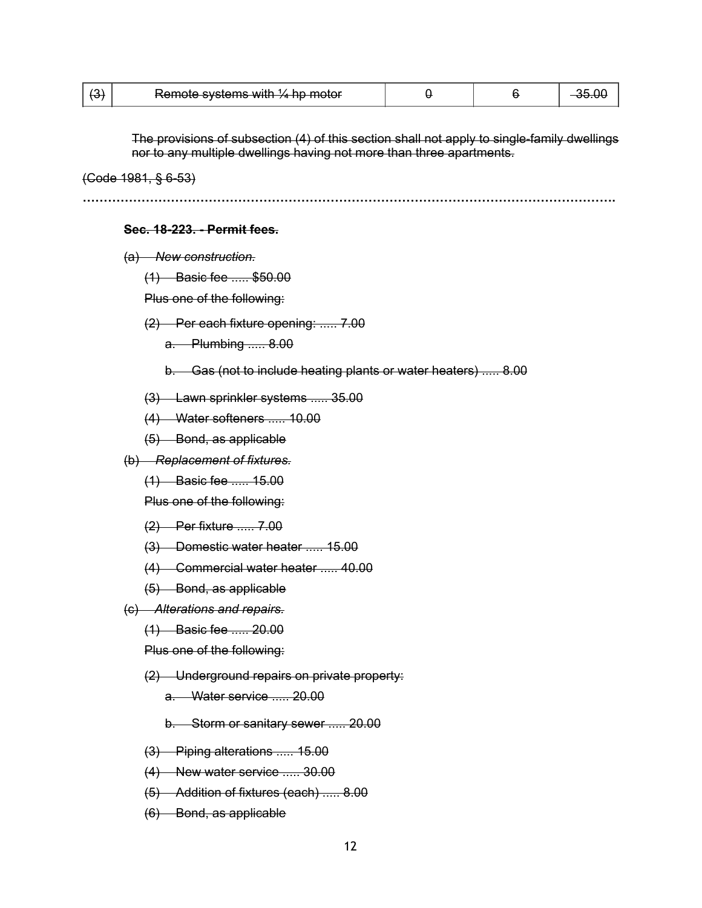|  | Remote systems with $\frac{1}{4}$ hp motor |  |  |  |
|--|--------------------------------------------|--|--|--|
|--|--------------------------------------------|--|--|--|

The provisions of subsection (4) of this section shall not apply to single-family dwellings nor to any multiple dwellings having not more than three apartments.

(Code 1981, § 6-53)

**……………………………………………………………………………………………………………….** 

#### **Sec. 18-223. - Permit fees.**

(a) *New construction.*

(1) Basic fee ..... \$50.00

Plus one of the following:

(2) Per each fixture opening: ..... 7.00

a. Plumbing ..... 8.00

- b. Gas (not to include heating plants or water heaters) ..... 8.00
- (3) Lawn sprinkler systems ..... 35.00
- (4) Water softeners ..... 10.00
- (5) Bond, as applicable
- (b) *Replacement of fixtures.*
	- (1) Basic fee ..... 15.00

Plus one of the following:

- (2) Per fixture ..... 7.00
- (3) Domestic water heater ..... 15.00
- (4) Commercial water heater ..... 40.00
- (5) Bond, as applicable
- (c) *Alterations and repairs.*
	- (1) Basic fee ..... 20.00

Plus one of the following:

- (2) Underground repairs on private property:
	- a. Water service ..... 20.00

b. Storm or sanitary sewer ..... 20.00

- (3) Piping alterations ..... 15.00
- (4) New water service ..... 30.00
- (5) Addition of fixtures (each) ..... 8.00
- (6) Bond, as applicable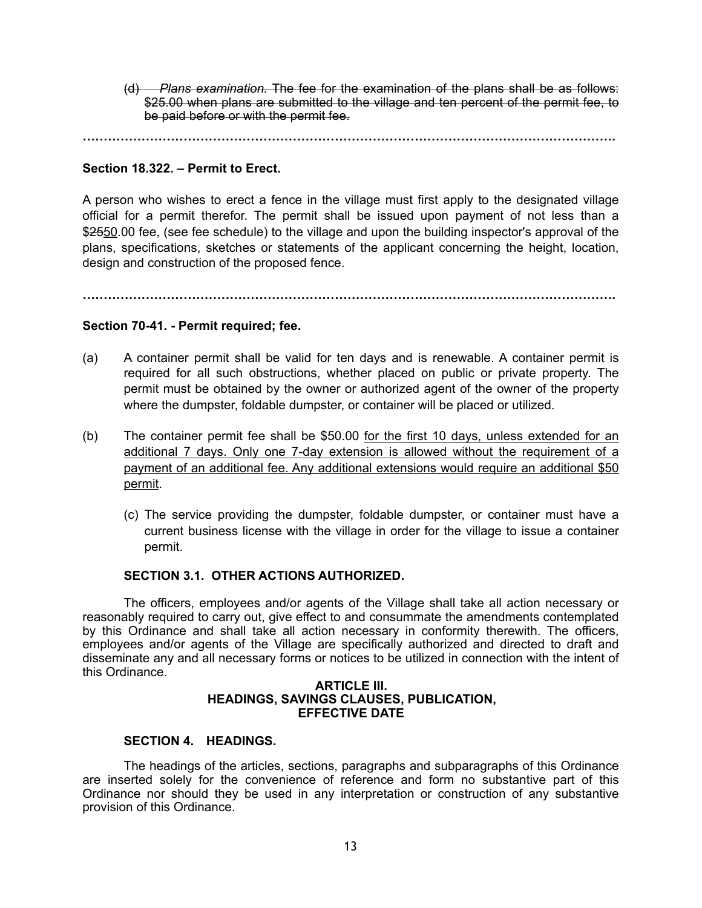(d) *Plans examination.* The fee for the examination of the plans shall be as follows: \$25.00 when plans are submitted to the village and ten percent of the permit fee, to be paid before or with the permit fee.

**……………………………………………………………………………………………………………….** 

# **Section 18.322. – Permit to Erect.**

A person who wishes to erect a fence in the village must first apply to the designated village official for a permit therefor. The permit shall be issued upon payment of not less than a \$2550.00 fee, (see fee schedule) to the village and upon the building inspector's approval of the plans, specifications, sketches or statements of the applicant concerning the height, location, design and construction of the proposed fence.

**……………………………………………………………………………………………………………….** 

# **Section 70-41. - Permit required; fee.**

- (a) A container permit shall be valid for ten days and is renewable. A container permit is required for all such obstructions, whether placed on public or private property. The permit must be obtained by the owner or authorized agent of the owner of the property where the dumpster, foldable dumpster, or container will be placed or utilized.
- (b) The container permit fee shall be \$50.00 for the first 10 days, unless extended for an additional 7 days. Only one 7-day extension is allowed without the requirement of a payment of an additional fee. Any additional extensions would require an additional \$50 permit.
	- (c) The service providing the dumpster, foldable dumpster, or container must have a current business license with the village in order for the village to issue a container permit.

#### **SECTION 3.1. OTHER ACTIONS AUTHORIZED.**

The officers, employees and/or agents of the Village shall take all action necessary or reasonably required to carry out, give effect to and consummate the amendments contemplated by this Ordinance and shall take all action necessary in conformity therewith. The officers, employees and/or agents of the Village are specifically authorized and directed to draft and disseminate any and all necessary forms or notices to be utilized in connection with the intent of this Ordinance.

#### **ARTICLE III. HEADINGS, SAVINGS CLAUSES, PUBLICATION, EFFECTIVE DATE**

# **SECTION 4. HEADINGS.**

The headings of the articles, sections, paragraphs and subparagraphs of this Ordinance are inserted solely for the convenience of reference and form no substantive part of this Ordinance nor should they be used in any interpretation or construction of any substantive provision of this Ordinance.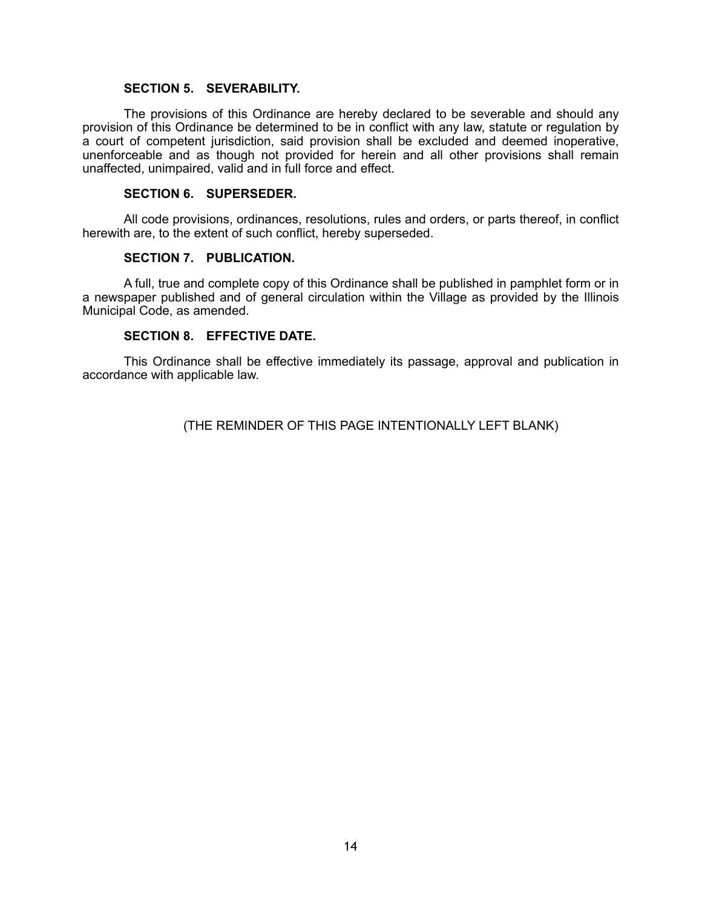#### **SECTION 5. SEVERABILITY.**

The provisions of this Ordinance are hereby declared to be severable and should any provision of this Ordinance be determined to be in conflict with any law, statute or regulation by a court of competent jurisdiction, said provision shall be excluded and deemed inoperative, unenforceable and as though not provided for herein and all other provisions shall remain unaffected, unimpaired, valid and in full force and effect.

#### **SECTION 6. SUPERSEDER.**

All code provisions, ordinances, resolutions, rules and orders, or parts thereof, in conflict herewith are, to the extent of such conflict, hereby superseded.

#### **SECTION 7. PUBLICATION.**

A full, true and complete copy of this Ordinance shall be published in pamphlet form or in a newspaper published and of general circulation within the Village as provided by the Illinois Municipal Code, as amended.

#### **SECTION 8. EFFECTIVE DATE.**

This Ordinance shall be effective immediately its passage, approval and publication in accordance with applicable law.

(THE REMINDER OF THIS PAGE INTENTIONALLY LEFT BLANK)